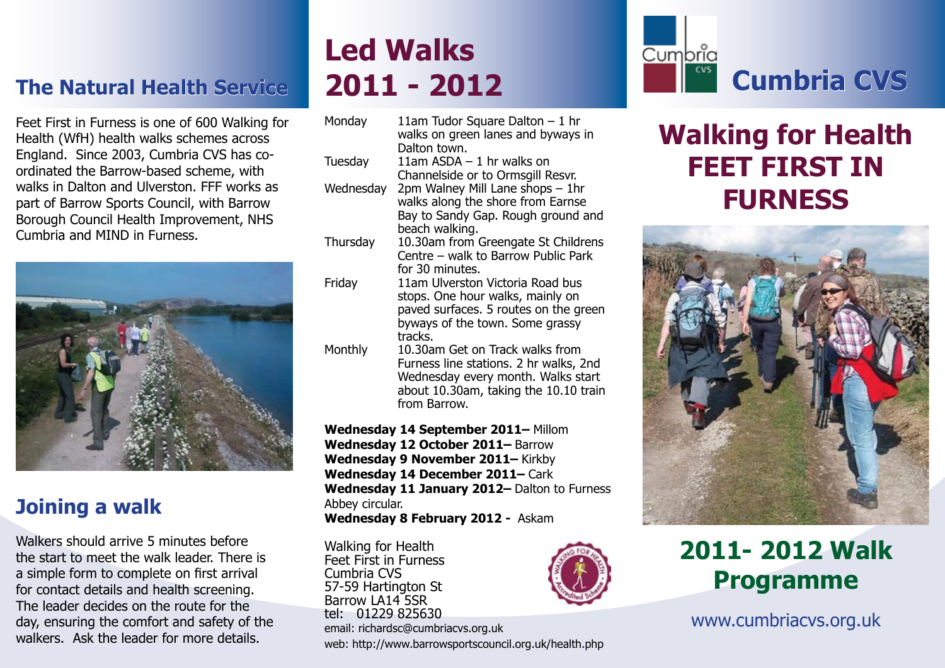#### **The Natural Health Service**

Feet First in Furness is one of 600 Walking for Health (WfH) health walks schemes across England. Since 2003, Cumbria CVS has coordinated the Barrow-based scheme, with walks in Dalton and Ulverston. FFF works as part of Barrow Sports Council, with Barrow Borough Council Health Improvement, NHS Cumbria and MIND in Furness.



#### **Joining a walk**

Walkers should arrive 5 minutes before the start to meet the walk leader. There is a simple form to complete on first arrival for contact details and health screening. The leader decides on the route for the day, ensuring the comfort and safety of the walkers. Ask the leader for more details.

# **Led Walks 2011 - 2012**

- Monday 11am Tudor Square Dalton  $-1$  hr walks on green lanes and byways in Dalton town. Tuesday 11am ASDA – 1 hr walks on Channelside or to Ormsgill Resvr. Wednesday 2pm Walney Mill Lane shops – 1hr walks along the shore from Earnse Bay to Sandy Gap. Rough ground and beach walking. Thursday 10.30am from Greengate St Childrens Centre – walk to Barrow Public Park for 30 minutes. Friday 11am Ulverston Victoria Road bus stops. One hour walks, mainly on paved surfaces. 5 routes on the green byways of the town. Some grassy tracks.
- Monthly 10.30am Get on Track walks from Furness line stations. 2 hr walks, 2nd Wednesday every month. Walks start about 10.30am, taking the 10.10 train from Barrow.

**Wednesday 14 September 2011–** Millom **Wednesday 12 October 2011–** Barrow **Wednesday 9 November 2011–** Kirkby **Wednesday 14 December 2011–** Cark Wednesday 11 January 2012– Dalton to Furness Abbey circular. **Wednesday 8 February 2012 -** Askam

Walking for Health Feet First in Furness Cumbria CVS 57-59 Hartington St Barrow LA14 5SR tel: 01229 825630 email: richardsc@cumbriacvs.org.uk web: http://www.barrowsportscouncil.org.uk/health.php



## **Walking for Health FEET FIRST IN FURNESS**





### **2011- 2012 Walk Programme**

www.cumbriacvs.org.uk